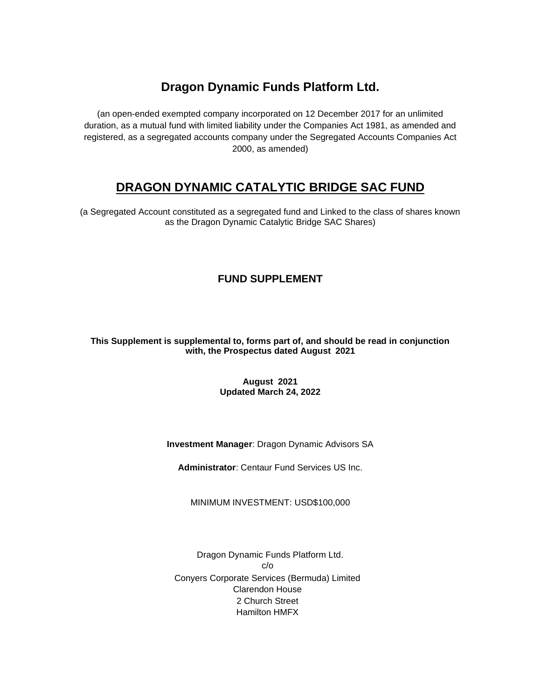# **Dragon Dynamic Funds Platform Ltd.**

(an open-ended exempted company incorporated on 12 December 2017 for an unlimited duration, as a mutual fund with limited liability under the Companies Act 1981, as amended and registered, as a segregated accounts company under the Segregated Accounts Companies Act 2000, as amended)

# **DRAGON DYNAMIC CATALYTIC BRIDGE SAC FUND**

(a Segregated Account constituted as a segregated fund and Linked to the class of shares known as the Dragon Dynamic Catalytic Bridge SAC Shares)

## **FUND SUPPLEMENT**

## **This Supplement is supplemental to, forms part of, and should be read in conjunction with, the Prospectus dated August 2021**

## **August 2021 Updated March 24, 2022**

## **Investment Manager**: Dragon Dynamic Advisors SA

**Administrator**: Centaur Fund Services US Inc.

MINIMUM INVESTMENT: USD\$100,000

Dragon Dynamic Funds Platform Ltd. c/o Conyers Corporate Services (Bermuda) Limited Clarendon House 2 Church Street Hamilton HMFX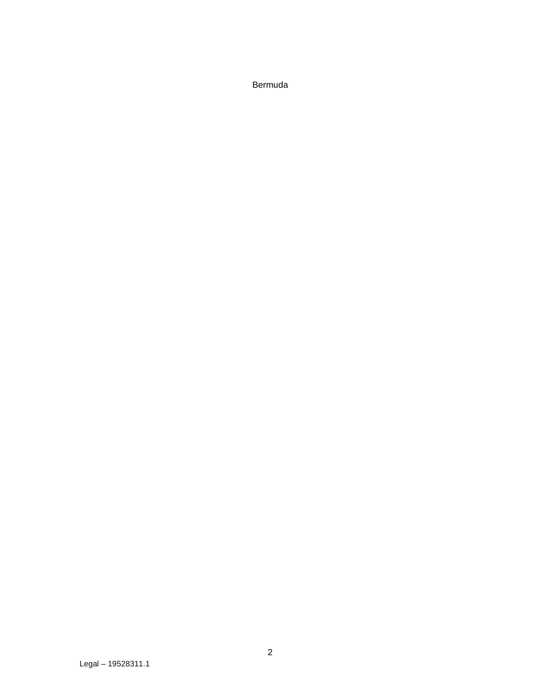Bermuda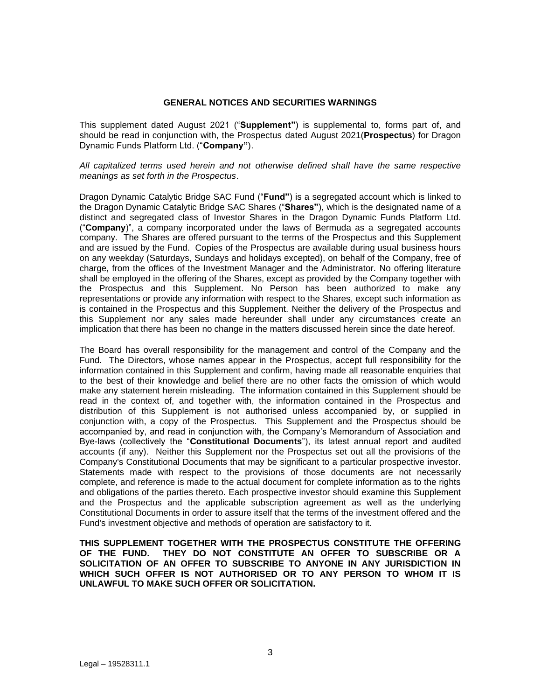## **GENERAL NOTICES AND SECURITIES WARNINGS**

<span id="page-2-0"></span>This supplement dated August 2021 ("**Supplement"**) is supplemental to, forms part of, and should be read in conjunction with, the Prospectus dated August 2021(**Prospectus**) for Dragon Dynamic Funds Platform Ltd. ("**Company"**).

*All capitalized terms used herein and not otherwise defined shall have the same respective meanings as set forth in the Prospectus*.

Dragon Dynamic Catalytic Bridge SAC Fund ("**Fund"**) is a segregated account which is linked to the Dragon Dynamic Catalytic Bridge SAC Shares ("**Shares"**), which is the designated name of a distinct and segregated class of Investor Shares in the Dragon Dynamic Funds Platform Ltd. ("**Company**)", a company incorporated under the laws of Bermuda as a segregated accounts company. The Shares are offered pursuant to the terms of the Prospectus and this Supplement and are issued by the Fund. Copies of the Prospectus are available during usual business hours on any weekday (Saturdays, Sundays and holidays excepted), on behalf of the Company, free of charge, from the offices of the Investment Manager and the Administrator. No offering literature shall be employed in the offering of the Shares, except as provided by the Company together with the Prospectus and this Supplement. No Person has been authorized to make any representations or provide any information with respect to the Shares, except such information as is contained in the Prospectus and this Supplement. Neither the delivery of the Prospectus and this Supplement nor any sales made hereunder shall under any circumstances create an implication that there has been no change in the matters discussed herein since the date hereof.

The Board has overall responsibility for the management and control of the Company and the Fund. The Directors, whose names appear in the Prospectus, accept full responsibility for the information contained in this Supplement and confirm, having made all reasonable enquiries that to the best of their knowledge and belief there are no other facts the omission of which would make any statement herein misleading. The information contained in this Supplement should be read in the context of, and together with, the information contained in the Prospectus and distribution of this Supplement is not authorised unless accompanied by, or supplied in conjunction with, a copy of the Prospectus. This Supplement and the Prospectus should be accompanied by, and read in conjunction with, the Company's Memorandum of Association and Bye-laws (collectively the "**Constitutional Documents**"), its latest annual report and audited accounts (if any). Neither this Supplement nor the Prospectus set out all the provisions of the Company's Constitutional Documents that may be significant to a particular prospective investor. Statements made with respect to the provisions of those documents are not necessarily complete, and reference is made to the actual document for complete information as to the rights and obligations of the parties thereto. Each prospective investor should examine this Supplement and the Prospectus and the applicable subscription agreement as well as the underlying Constitutional Documents in order to assure itself that the terms of the investment offered and the Fund's investment objective and methods of operation are satisfactory to it.

**THIS SUPPLEMENT TOGETHER WITH THE PROSPECTUS CONSTITUTE THE OFFERING OF THE FUND. THEY DO NOT CONSTITUTE AN OFFER TO SUBSCRIBE OR A SOLICITATION OF AN OFFER TO SUBSCRIBE TO ANYONE IN ANY JURISDICTION IN WHICH SUCH OFFER IS NOT AUTHORISED OR TO ANY PERSON TO WHOM IT IS UNLAWFUL TO MAKE SUCH OFFER OR SOLICITATION.**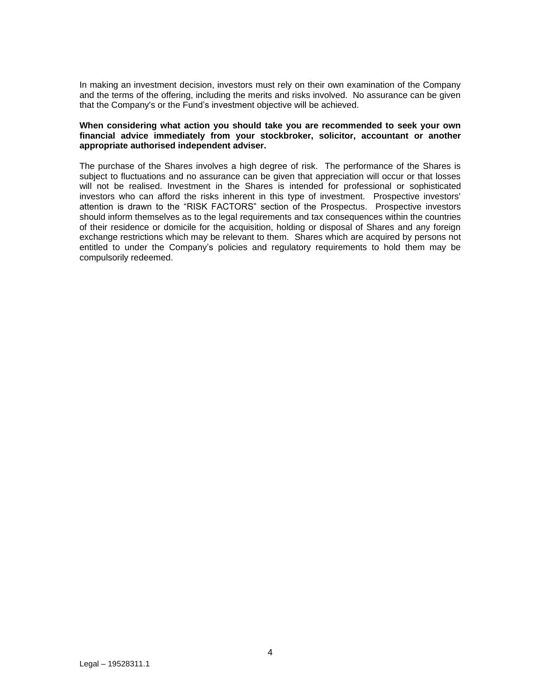In making an investment decision, investors must rely on their own examination of the Company and the terms of the offering, including the merits and risks involved. No assurance can be given that the Company's or the Fund's investment objective will be achieved.

### **When considering what action you should take you are recommended to seek your own financial advice immediately from your stockbroker, solicitor, accountant or another appropriate authorised independent adviser.**

The purchase of the Shares involves a high degree of risk. The performance of the Shares is subject to fluctuations and no assurance can be given that appreciation will occur or that losses will not be realised. Investment in the Shares is intended for professional or sophisticated investors who can afford the risks inherent in this type of investment. Prospective investors' attention is drawn to the "RISK FACTORS" section of the Prospectus. Prospective investors should inform themselves as to the legal requirements and tax consequences within the countries of their residence or domicile for the acquisition, holding or disposal of Shares and any foreign exchange restrictions which may be relevant to them. Shares which are acquired by persons not entitled to under the Company's policies and regulatory requirements to hold them may be compulsorily redeemed.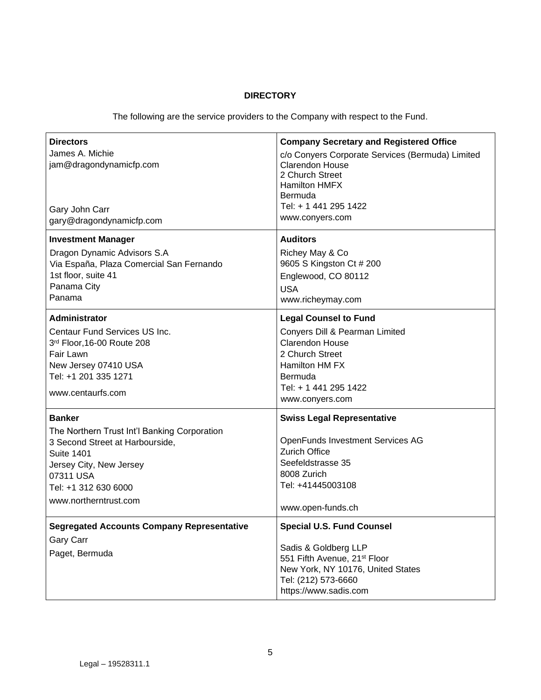## **DIRECTORY**

The following are the service providers to the Company with respect to the Fund.

| <b>Directors</b><br>James A. Michie<br>jam@dragondynamicfp.com<br>Gary John Carr<br>gary@dragondynamicfp.com                                                                                                   | <b>Company Secretary and Registered Office</b><br>c/o Conyers Corporate Services (Bermuda) Limited<br>Clarendon House<br>2 Church Street<br><b>Hamilton HMFX</b><br>Bermuda<br>Tel: + 1 441 295 1422<br>www.conyers.com |
|----------------------------------------------------------------------------------------------------------------------------------------------------------------------------------------------------------------|-------------------------------------------------------------------------------------------------------------------------------------------------------------------------------------------------------------------------|
| <b>Investment Manager</b><br>Dragon Dynamic Advisors S.A<br>Via España, Plaza Comercial San Fernando<br>1st floor, suite 41<br>Panama City<br>Panama                                                           | <b>Auditors</b><br>Richey May & Co<br>9605 S Kingston Ct # 200<br>Englewood, CO 80112<br><b>USA</b><br>www.richeymay.com                                                                                                |
| Administrator<br>Centaur Fund Services US Inc.<br>3rd Floor, 16-00 Route 208<br>Fair Lawn<br>New Jersey 07410 USA<br>Tel: +1 201 335 1271<br>www.centaurfs.com                                                 | <b>Legal Counsel to Fund</b><br>Conyers Dill & Pearman Limited<br>Clarendon House<br>2 Church Street<br>Hamilton HM FX<br>Bermuda<br>Tel: + 1 441 295 1422<br>www.conyers.com                                           |
| <b>Banker</b><br>The Northern Trust Int'l Banking Corporation<br>3 Second Street at Harbourside,<br><b>Suite 1401</b><br>Jersey City, New Jersey<br>07311 USA<br>Tel: +1 312 630 6000<br>www.northerntrust.com | <b>Swiss Legal Representative</b><br>OpenFunds Investment Services AG<br><b>Zurich Office</b><br>Seefeldstrasse 35<br>8008 Zurich<br>Tel: +41445003108<br>www.open-funds.ch                                             |
| <b>Segregated Accounts Company Representative</b><br>Gary Carr<br>Paget, Bermuda                                                                                                                               | <b>Special U.S. Fund Counsel</b><br>Sadis & Goldberg LLP<br>551 Fifth Avenue, 21 <sup>st</sup> Floor<br>New York, NY 10176, United States<br>Tel: (212) 573-6660<br>https://www.sadis.com                               |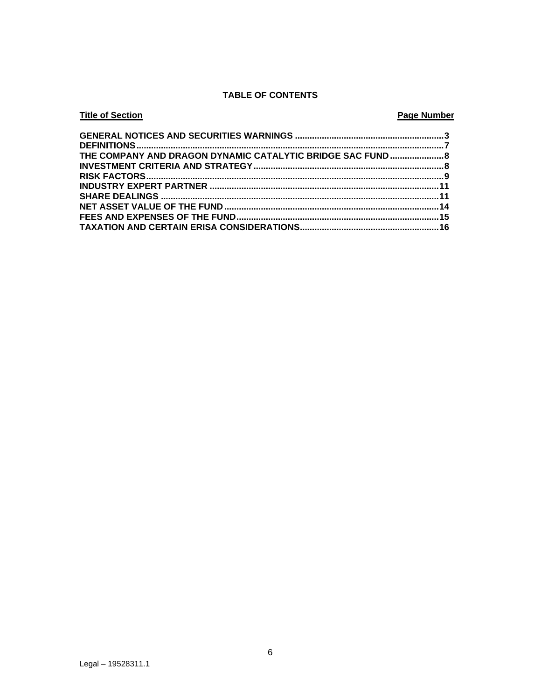## **TABLE OF CONTENTS**

### **Title of Section Page Number** THE COMPANY AND DRAGON DYNAMIC CATALYTIC BRIDGE SAC FUND....................... 8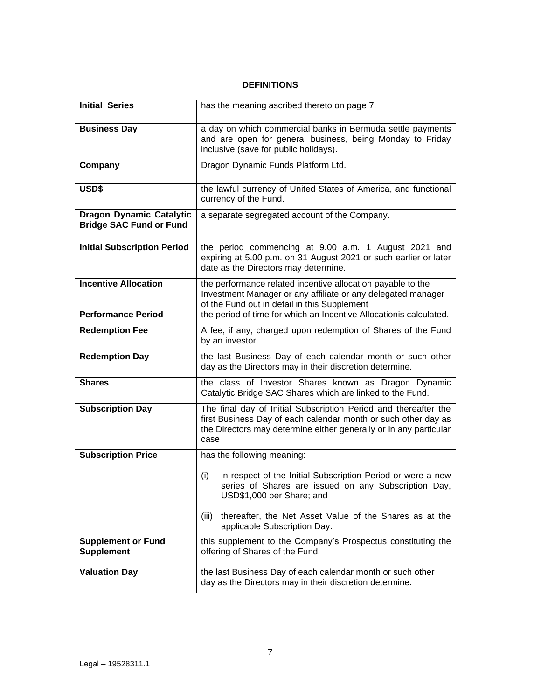## **DEFINITIONS**

<span id="page-6-0"></span>

| <b>Initial Series</b>                                             | has the meaning ascribed thereto on page 7.                                                                                                                                                                    |
|-------------------------------------------------------------------|----------------------------------------------------------------------------------------------------------------------------------------------------------------------------------------------------------------|
| <b>Business Day</b>                                               | a day on which commercial banks in Bermuda settle payments<br>and are open for general business, being Monday to Friday<br>inclusive (save for public holidays).                                               |
| Company                                                           | Dragon Dynamic Funds Platform Ltd.                                                                                                                                                                             |
| USD\$                                                             | the lawful currency of United States of America, and functional<br>currency of the Fund.                                                                                                                       |
| <b>Dragon Dynamic Catalytic</b><br><b>Bridge SAC Fund or Fund</b> | a separate segregated account of the Company.                                                                                                                                                                  |
| <b>Initial Subscription Period</b>                                | the period commencing at 9.00 a.m. 1 August 2021 and<br>expiring at 5.00 p.m. on 31 August 2021 or such earlier or later<br>date as the Directors may determine.                                               |
| <b>Incentive Allocation</b>                                       | the performance related incentive allocation payable to the<br>Investment Manager or any affiliate or any delegated manager<br>of the Fund out in detail in this Supplement                                    |
| <b>Performance Period</b>                                         | the period of time for which an Incentive Allocationis calculated.                                                                                                                                             |
| <b>Redemption Fee</b>                                             | A fee, if any, charged upon redemption of Shares of the Fund<br>by an investor.                                                                                                                                |
| <b>Redemption Day</b>                                             | the last Business Day of each calendar month or such other<br>day as the Directors may in their discretion determine.                                                                                          |
| <b>Shares</b>                                                     | the class of Investor Shares known as Dragon Dynamic<br>Catalytic Bridge SAC Shares which are linked to the Fund.                                                                                              |
| <b>Subscription Day</b>                                           | The final day of Initial Subscription Period and thereafter the<br>first Business Day of each calendar month or such other day as<br>the Directors may determine either generally or in any particular<br>case |
| <b>Subscription Price</b>                                         | has the following meaning:                                                                                                                                                                                     |
|                                                                   | (i)<br>in respect of the Initial Subscription Period or were a new<br>series of Shares are issued on any Subscription Day,<br>USD\$1,000 per Share; and                                                        |
|                                                                   | thereafter, the Net Asset Value of the Shares as at the<br>(iii)<br>applicable Subscription Day.                                                                                                               |
| <b>Supplement or Fund</b><br><b>Supplement</b>                    | this supplement to the Company's Prospectus constituting the<br>offering of Shares of the Fund.                                                                                                                |
| <b>Valuation Day</b>                                              | the last Business Day of each calendar month or such other<br>day as the Directors may in their discretion determine.                                                                                          |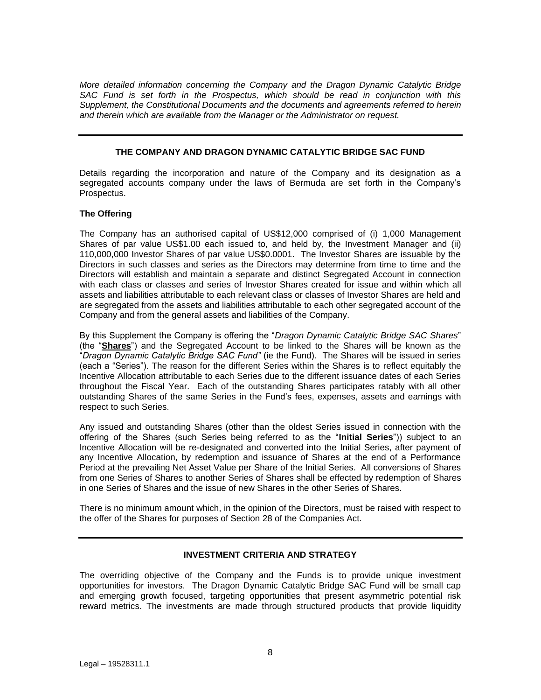*More detailed information concerning the Company and the Dragon Dynamic Catalytic Bridge SAC Fund is set forth in the Prospectus, which should be read in conjunction with this Supplement, the Constitutional Documents and the documents and agreements referred to herein and therein which are available from the Manager or the Administrator on request.*

### **THE COMPANY AND DRAGON DYNAMIC CATALYTIC BRIDGE SAC FUND**

<span id="page-7-0"></span>Details regarding the incorporation and nature of the Company and its designation as a segregated accounts company under the laws of Bermuda are set forth in the Company's Prospectus.

#### **The Offering**

The Company has an authorised capital of US\$12,000 comprised of (i) 1,000 Management Shares of par value US\$1.00 each issued to, and held by, the Investment Manager and (ii) 110,000,000 Investor Shares of par value US\$0.0001. The Investor Shares are issuable by the Directors in such classes and series as the Directors may determine from time to time and the Directors will establish and maintain a separate and distinct Segregated Account in connection with each class or classes and series of Investor Shares created for issue and within which all assets and liabilities attributable to each relevant class or classes of Investor Shares are held and are segregated from the assets and liabilities attributable to each other segregated account of the Company and from the general assets and liabilities of the Company.

By this Supplement the Company is offering the "*Dragon Dynamic Catalytic Bridge SAC Shares*" (the "**Shares**") and the Segregated Account to be linked to the Shares will be known as the "*Dragon Dynamic Catalytic Bridge SAC Fund"* (ie the Fund). The Shares will be issued in series (each a "Series"). The reason for the different Series within the Shares is to reflect equitably the Incentive Allocation attributable to each Series due to the different issuance dates of each Series throughout the Fiscal Year. Each of the outstanding Shares participates ratably with all other outstanding Shares of the same Series in the Fund's fees, expenses, assets and earnings with respect to such Series.

Any issued and outstanding Shares (other than the oldest Series issued in connection with the offering of the Shares (such Series being referred to as the "**Initial Series**")) subject to an Incentive Allocation will be re-designated and converted into the Initial Series, after payment of any Incentive Allocation, by redemption and issuance of Shares at the end of a Performance Period at the prevailing Net Asset Value per Share of the Initial Series. All conversions of Shares from one Series of Shares to another Series of Shares shall be effected by redemption of Shares in one Series of Shares and the issue of new Shares in the other Series of Shares.

There is no minimum amount which, in the opinion of the Directors, must be raised with respect to the offer of the Shares for purposes of Section 28 of the Companies Act.

## **INVESTMENT CRITERIA AND STRATEGY**

<span id="page-7-1"></span>The overriding objective of the Company and the Funds is to provide unique investment opportunities for investors. The Dragon Dynamic Catalytic Bridge SAC Fund will be small cap and emerging growth focused, targeting opportunities that present asymmetric potential risk reward metrics. The investments are made through structured products that provide liquidity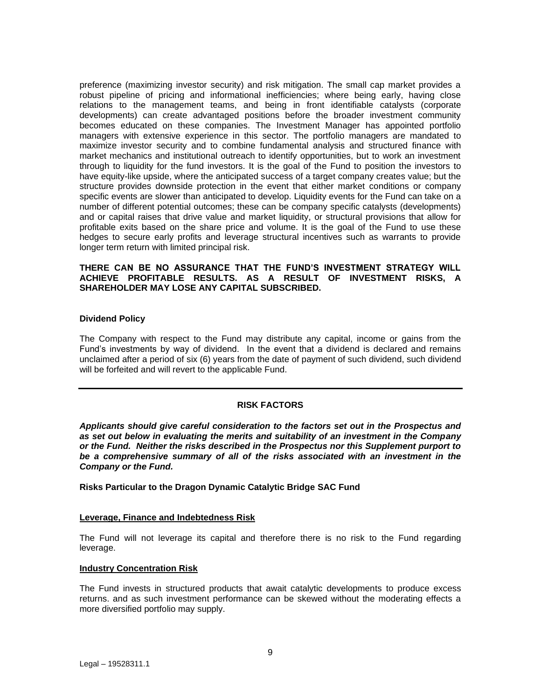preference (maximizing investor security) and risk mitigation. The small cap market provides a robust pipeline of pricing and informational inefficiencies; where being early, having close relations to the management teams, and being in front identifiable catalysts (corporate developments) can create advantaged positions before the broader investment community becomes educated on these companies. The Investment Manager has appointed portfolio managers with extensive experience in this sector. The portfolio managers are mandated to maximize investor security and to combine fundamental analysis and structured finance with market mechanics and institutional outreach to identify opportunities, but to work an investment through to liquidity for the fund investors. It is the goal of the Fund to position the investors to have equity-like upside, where the anticipated success of a target company creates value; but the structure provides downside protection in the event that either market conditions or company specific events are slower than anticipated to develop. Liquidity events for the Fund can take on a number of different potential outcomes; these can be company specific catalysts (developments) and or capital raises that drive value and market liquidity, or structural provisions that allow for profitable exits based on the share price and volume. It is the goal of the Fund to use these hedges to secure early profits and leverage structural incentives such as warrants to provide longer term return with limited principal risk.

## **THERE CAN BE NO ASSURANCE THAT THE FUND'S INVESTMENT STRATEGY WILL ACHIEVE PROFITABLE RESULTS. AS A RESULT OF INVESTMENT RISKS, A SHAREHOLDER MAY LOSE ANY CAPITAL SUBSCRIBED.**

#### **Dividend Policy**

The Company with respect to the Fund may distribute any capital, income or gains from the Fund's investments by way of dividend. In the event that a dividend is declared and remains unclaimed after a period of six (6) years from the date of payment of such dividend, such dividend will be forfeited and will revert to the applicable Fund.

#### **RISK FACTORS**

<span id="page-8-0"></span>*Applicants should give careful consideration to the factors set out in the Prospectus and as set out below in evaluating the merits and suitability of an investment in the Company or the Fund. Neither the risks described in the Prospectus nor this Supplement purport to be a comprehensive summary of all of the risks associated with an investment in the Company or the Fund.*

**Risks Particular to the Dragon Dynamic Catalytic Bridge SAC Fund**

#### **Leverage, Finance and Indebtedness Risk**

The Fund will not leverage its capital and therefore there is no risk to the Fund regarding leverage.

#### **Industry Concentration Risk**

The Fund invests in structured products that await catalytic developments to produce excess returns. and as such investment performance can be skewed without the moderating effects a more diversified portfolio may supply.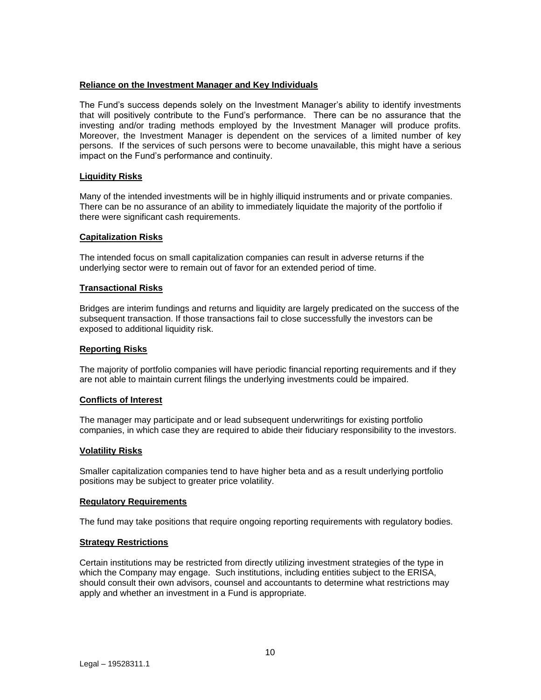## **Reliance on the Investment Manager and Key Individuals**

The Fund's success depends solely on the Investment Manager's ability to identify investments that will positively contribute to the Fund's performance. There can be no assurance that the investing and/or trading methods employed by the Investment Manager will produce profits. Moreover, the Investment Manager is dependent on the services of a limited number of key persons. If the services of such persons were to become unavailable, this might have a serious impact on the Fund's performance and continuity.

## **Liquidity Risks**

Many of the intended investments will be in highly illiquid instruments and or private companies. There can be no assurance of an ability to immediately liquidate the majority of the portfolio if there were significant cash requirements.

#### **Capitalization Risks**

The intended focus on small capitalization companies can result in adverse returns if the underlying sector were to remain out of favor for an extended period of time.

#### **Transactional Risks**

Bridges are interim fundings and returns and liquidity are largely predicated on the success of the subsequent transaction. If those transactions fail to close successfully the investors can be exposed to additional liquidity risk.

#### **Reporting Risks**

The majority of portfolio companies will have periodic financial reporting requirements and if they are not able to maintain current filings the underlying investments could be impaired.

## **Conflicts of Interest**

The manager may participate and or lead subsequent underwritings for existing portfolio companies, in which case they are required to abide their fiduciary responsibility to the investors.

#### **Volatility Risks**

Smaller capitalization companies tend to have higher beta and as a result underlying portfolio positions may be subject to greater price volatility.

#### **Regulatory Requirements**

The fund may take positions that require ongoing reporting requirements with regulatory bodies.

## **Strategy Restrictions**

Certain institutions may be restricted from directly utilizing investment strategies of the type in which the Company may engage. Such institutions, including entities subject to the ERISA, should consult their own advisors, counsel and accountants to determine what restrictions may apply and whether an investment in a Fund is appropriate.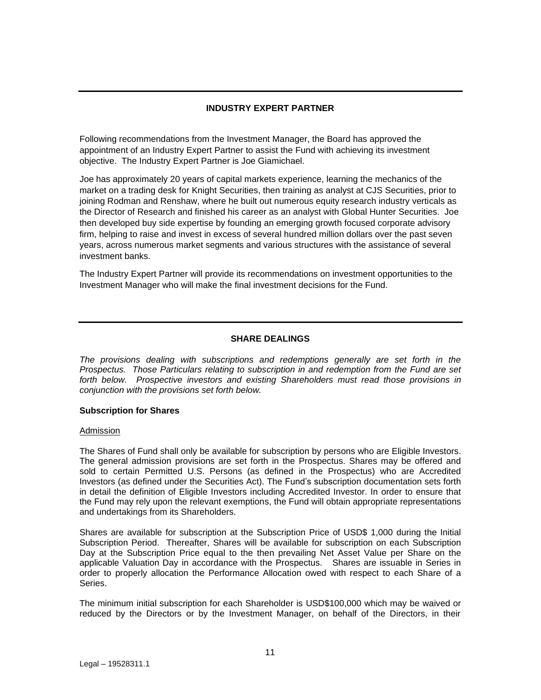## **INDUSTRY EXPERT PARTNER**

<span id="page-10-0"></span>Following recommendations from the Investment Manager, the Board has approved the appointment of an Industry Expert Partner to assist the Fund with achieving its investment objective. The Industry Expert Partner is Joe Giamichael.

Joe has approximately 20 years of capital markets experience, learning the mechanics of the market on a trading desk for Knight Securities, then training as analyst at CJS Securities, prior to joining Rodman and Renshaw, where he built out numerous equity research industry verticals as the Director of Research and finished his career as an analyst with Global Hunter Securities. Joe then developed buy side expertise by founding an emerging growth focused corporate advisory firm, helping to raise and invest in excess of several hundred million dollars over the past seven years, across numerous market segments and various structures with the assistance of several investment banks.

The Industry Expert Partner will provide its recommendations on investment opportunities to the Investment Manager who will make the final investment decisions for the Fund.

#### **SHARE DEALINGS**

<span id="page-10-1"></span>*The provisions dealing with subscriptions and redemptions generally are set forth in the Prospectus. Those Particulars relating to subscription in and redemption from the Fund are set forth below. Prospective investors and existing Shareholders must read those provisions in conjunction with the provisions set forth below.*

#### **Subscription for Shares**

#### Admission

The Shares of Fund shall only be available for subscription by persons who are Eligible Investors. The general admission provisions are set forth in the Prospectus. Shares may be offered and sold to certain Permitted U.S. Persons (as defined in the Prospectus) who are Accredited Investors (as defined under the Securities Act). The Fund's subscription documentation sets forth in detail the definition of Eligible Investors including Accredited Investor. In order to ensure that the Fund may rely upon the relevant exemptions, the Fund will obtain appropriate representations and undertakings from its Shareholders.

Shares are available for subscription at the Subscription Price of USD\$ 1,000 during the Initial Subscription Period. Thereafter, Shares will be available for subscription on each Subscription Day at the Subscription Price equal to the then prevailing Net Asset Value per Share on the applicable Valuation Day in accordance with the Prospectus. Shares are issuable in Series in order to properly allocation the Performance Allocation owed with respect to each Share of a Series.

The minimum initial subscription for each Shareholder is USD\$100,000 which may be waived or reduced by the Directors or by the Investment Manager, on behalf of the Directors, in their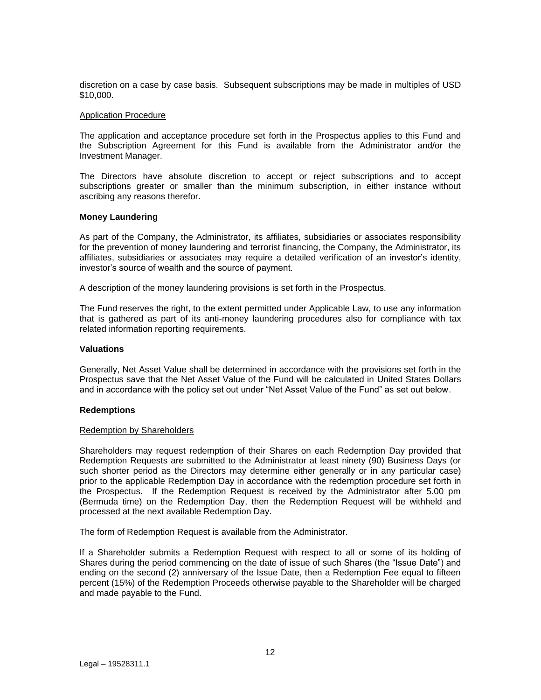discretion on a case by case basis. Subsequent subscriptions may be made in multiples of USD \$10,000.

#### Application Procedure

The application and acceptance procedure set forth in the Prospectus applies to this Fund and the Subscription Agreement for this Fund is available from the Administrator and/or the Investment Manager.

The Directors have absolute discretion to accept or reject subscriptions and to accept subscriptions greater or smaller than the minimum subscription, in either instance without ascribing any reasons therefor.

#### **Money Laundering**

As part of the Company, the Administrator, its affiliates, subsidiaries or associates responsibility for the prevention of money laundering and terrorist financing, the Company, the Administrator, its affiliates, subsidiaries or associates may require a detailed verification of an investor's identity, investor's source of wealth and the source of payment.

A description of the money laundering provisions is set forth in the Prospectus.

The Fund reserves the right, to the extent permitted under Applicable Law, to use any information that is gathered as part of its anti-money laundering procedures also for compliance with tax related information reporting requirements.

#### **Valuations**

Generally, Net Asset Value shall be determined in accordance with the provisions set forth in the Prospectus save that the Net Asset Value of the Fund will be calculated in United States Dollars and in accordance with the policy set out under "Net Asset Value of the Fund" as set out below.

#### **Redemptions**

#### Redemption by Shareholders

Shareholders may request redemption of their Shares on each Redemption Day provided that Redemption Requests are submitted to the Administrator at least ninety (90) Business Days (or such shorter period as the Directors may determine either generally or in any particular case) prior to the applicable Redemption Day in accordance with the redemption procedure set forth in the Prospectus. If the Redemption Request is received by the Administrator after 5.00 pm (Bermuda time) on the Redemption Day, then the Redemption Request will be withheld and processed at the next available Redemption Day.

The form of Redemption Request is available from the Administrator.

If a Shareholder submits a Redemption Request with respect to all or some of its holding of Shares during the period commencing on the date of issue of such Shares (the "Issue Date") and ending on the second (2) anniversary of the Issue Date, then a Redemption Fee equal to fifteen percent (15%) of the Redemption Proceeds otherwise payable to the Shareholder will be charged and made payable to the Fund.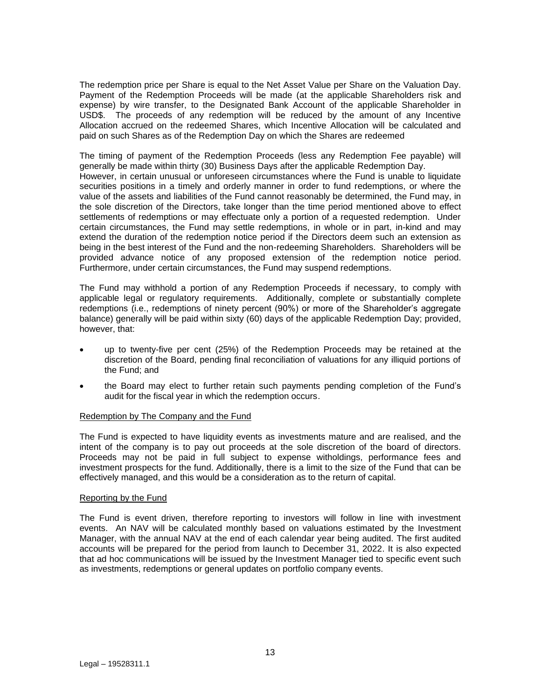The redemption price per Share is equal to the Net Asset Value per Share on the Valuation Day. Payment of the Redemption Proceeds will be made (at the applicable Shareholders risk and expense) by wire transfer, to the Designated Bank Account of the applicable Shareholder in USD\$. The proceeds of any redemption will be reduced by the amount of any Incentive Allocation accrued on the redeemed Shares, which Incentive Allocation will be calculated and paid on such Shares as of the Redemption Day on which the Shares are redeemed

The timing of payment of the Redemption Proceeds (less any Redemption Fee payable) will generally be made within thirty (30) Business Days after the applicable Redemption Day. However, in certain unusual or unforeseen circumstances where the Fund is unable to liquidate securities positions in a timely and orderly manner in order to fund redemptions, or where the value of the assets and liabilities of the Fund cannot reasonably be determined, the Fund may, in the sole discretion of the Directors, take longer than the time period mentioned above to effect settlements of redemptions or may effectuate only a portion of a requested redemption. Under certain circumstances, the Fund may settle redemptions, in whole or in part, in-kind and may extend the duration of the redemption notice period if the Directors deem such an extension as being in the best interest of the Fund and the non-redeeming Shareholders. Shareholders will be provided advance notice of any proposed extension of the redemption notice period. Furthermore, under certain circumstances, the Fund may suspend redemptions.

The Fund may withhold a portion of any Redemption Proceeds if necessary, to comply with applicable legal or regulatory requirements. Additionally, complete or substantially complete redemptions (i.e., redemptions of ninety percent (90%) or more of the Shareholder's aggregate balance) generally will be paid within sixty (60) days of the applicable Redemption Day; provided, however, that:

- up to twenty-five per cent (25%) of the Redemption Proceeds may be retained at the discretion of the Board, pending final reconciliation of valuations for any illiquid portions of the Fund; and
- the Board may elect to further retain such payments pending completion of the Fund's audit for the fiscal year in which the redemption occurs.

## Redemption by The Company and the Fund

The Fund is expected to have liquidity events as investments mature and are realised, and the intent of the company is to pay out proceeds at the sole discretion of the board of directors. Proceeds may not be paid in full subject to expense witholdings, performance fees and investment prospects for the fund. Additionally, there is a limit to the size of the Fund that can be effectively managed, and this would be a consideration as to the return of capital.

## Reporting by the Fund

The Fund is event driven, therefore reporting to investors will follow in line with investment events. An NAV will be calculated monthly based on valuations estimated by the Investment Manager, with the annual NAV at the end of each calendar year being audited. The first audited accounts will be prepared for the period from launch to December 31, 2022. It is also expected that ad hoc communications will be issued by the Investment Manager tied to specific event such as investments, redemptions or general updates on portfolio company events.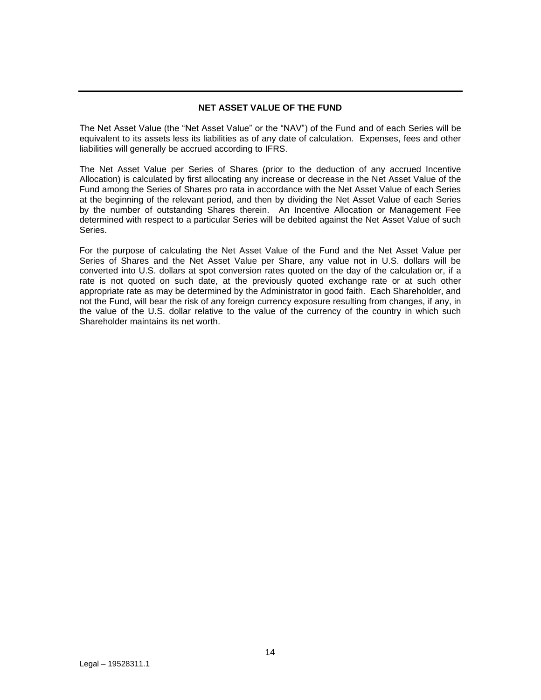## **NET ASSET VALUE OF THE FUND**

<span id="page-13-0"></span>The Net Asset Value (the "Net Asset Value" or the "NAV") of the Fund and of each Series will be equivalent to its assets less its liabilities as of any date of calculation. Expenses, fees and other liabilities will generally be accrued according to IFRS.

The Net Asset Value per Series of Shares (prior to the deduction of any accrued Incentive Allocation) is calculated by first allocating any increase or decrease in the Net Asset Value of the Fund among the Series of Shares pro rata in accordance with the Net Asset Value of each Series at the beginning of the relevant period, and then by dividing the Net Asset Value of each Series by the number of outstanding Shares therein. An Incentive Allocation or Management Fee determined with respect to a particular Series will be debited against the Net Asset Value of such Series.

For the purpose of calculating the Net Asset Value of the Fund and the Net Asset Value per Series of Shares and the Net Asset Value per Share, any value not in U.S. dollars will be converted into U.S. dollars at spot conversion rates quoted on the day of the calculation or, if a rate is not quoted on such date, at the previously quoted exchange rate or at such other appropriate rate as may be determined by the Administrator in good faith. Each Shareholder, and not the Fund, will bear the risk of any foreign currency exposure resulting from changes, if any, in the value of the U.S. dollar relative to the value of the currency of the country in which such Shareholder maintains its net worth.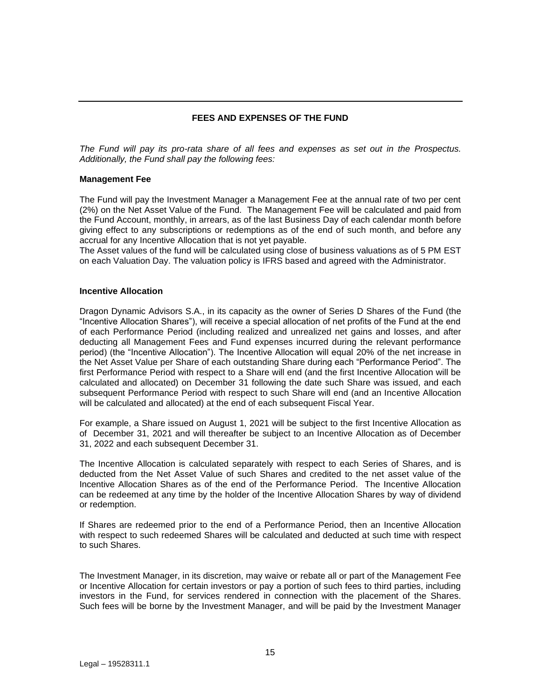## **FEES AND EXPENSES OF THE FUND**

<span id="page-14-0"></span>*The Fund will pay its pro-rata share of all fees and expenses as set out in the Prospectus. Additionally, the Fund shall pay the following fees:*

#### **Management Fee**

The Fund will pay the Investment Manager a Management Fee at the annual rate of two per cent (2%) on the Net Asset Value of the Fund. The Management Fee will be calculated and paid from the Fund Account, monthly, in arrears, as of the last Business Day of each calendar month before giving effect to any subscriptions or redemptions as of the end of such month, and before any accrual for any Incentive Allocation that is not yet payable.

The Asset values of the fund will be calculated using close of business valuations as of 5 PM EST on each Valuation Day. The valuation policy is IFRS based and agreed with the Administrator.

#### **Incentive Allocation**

Dragon Dynamic Advisors S.A., in its capacity as the owner of Series D Shares of the Fund (the "Incentive Allocation Shares"), will receive a special allocation of net profits of the Fund at the end of each Performance Period (including realized and unrealized net gains and losses, and after deducting all Management Fees and Fund expenses incurred during the relevant performance period) (the "Incentive Allocation"). The Incentive Allocation will equal 20% of the net increase in the Net Asset Value per Share of each outstanding Share during each "Performance Period". The first Performance Period with respect to a Share will end (and the first Incentive Allocation will be calculated and allocated) on December 31 following the date such Share was issued, and each subsequent Performance Period with respect to such Share will end (and an Incentive Allocation will be calculated and allocated) at the end of each subsequent Fiscal Year.

For example, a Share issued on August 1, 2021 will be subject to the first Incentive Allocation as of December 31, 2021 and will thereafter be subject to an Incentive Allocation as of December 31, 2022 and each subsequent December 31.

The Incentive Allocation is calculated separately with respect to each Series of Shares, and is deducted from the Net Asset Value of such Shares and credited to the net asset value of the Incentive Allocation Shares as of the end of the Performance Period. The Incentive Allocation can be redeemed at any time by the holder of the Incentive Allocation Shares by way of dividend or redemption.

If Shares are redeemed prior to the end of a Performance Period, then an Incentive Allocation with respect to such redeemed Shares will be calculated and deducted at such time with respect to such Shares.

The Investment Manager, in its discretion, may waive or rebate all or part of the Management Fee or Incentive Allocation for certain investors or pay a portion of such fees to third parties, including investors in the Fund, for services rendered in connection with the placement of the Shares. Such fees will be borne by the Investment Manager, and will be paid by the Investment Manager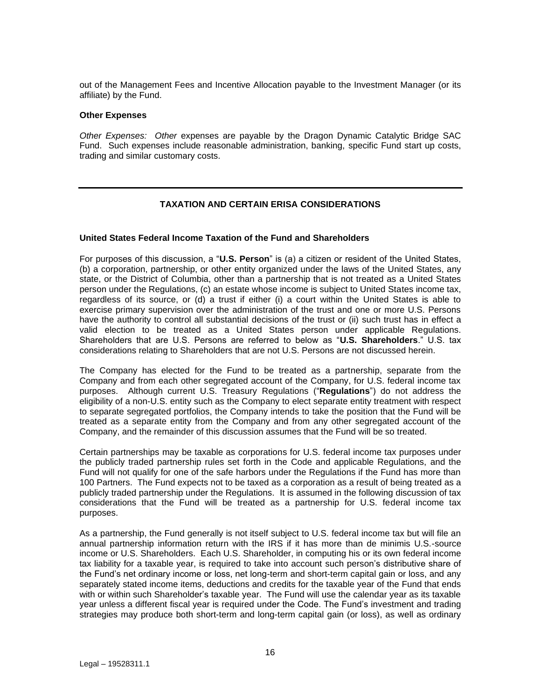out of the Management Fees and Incentive Allocation payable to the Investment Manager (or its affiliate) by the Fund.

#### **Other Expenses**

*Other Expenses: Other* expenses are payable by the Dragon Dynamic Catalytic Bridge SAC Fund. Such expenses include reasonable administration, banking, specific Fund start up costs, trading and similar customary costs.

## **TAXATION AND CERTAIN ERISA CONSIDERATIONS**

#### <span id="page-15-0"></span>**United States Federal Income Taxation of the Fund and Shareholders**

For purposes of this discussion, a "**U.S. Person**" is (a) a citizen or resident of the United States, (b) a corporation, partnership, or other entity organized under the laws of the United States, any state, or the District of Columbia, other than a partnership that is not treated as a United States person under the Regulations, (c) an estate whose income is subject to United States income tax, regardless of its source, or (d) a trust if either (i) a court within the United States is able to exercise primary supervision over the administration of the trust and one or more U.S. Persons have the authority to control all substantial decisions of the trust or (ii) such trust has in effect a valid election to be treated as a United States person under applicable Regulations. Shareholders that are U.S. Persons are referred to below as "**U.S. Shareholders**." U.S. tax considerations relating to Shareholders that are not U.S. Persons are not discussed herein.

The Company has elected for the Fund to be treated as a partnership, separate from the Company and from each other segregated account of the Company, for U.S. federal income tax purposes. Although current U.S. Treasury Regulations ("**Regulations**") do not address the eligibility of a non-U.S. entity such as the Company to elect separate entity treatment with respect to separate segregated portfolios, the Company intends to take the position that the Fund will be treated as a separate entity from the Company and from any other segregated account of the Company, and the remainder of this discussion assumes that the Fund will be so treated.

Certain partnerships may be taxable as corporations for U.S. federal income tax purposes under the publicly traded partnership rules set forth in the Code and applicable Regulations, and the Fund will not qualify for one of the safe harbors under the Regulations if the Fund has more than 100 Partners. The Fund expects not to be taxed as a corporation as a result of being treated as a publicly traded partnership under the Regulations. It is assumed in the following discussion of tax considerations that the Fund will be treated as a partnership for U.S. federal income tax purposes.

As a partnership, the Fund generally is not itself subject to U.S. federal income tax but will file an annual partnership information return with the IRS if it has more than de minimis U.S.-source income or U.S. Shareholders. Each U.S. Shareholder, in computing his or its own federal income tax liability for a taxable year, is required to take into account such person's distributive share of the Fund's net ordinary income or loss, net long-term and short-term capital gain or loss, and any separately stated income items, deductions and credits for the taxable year of the Fund that ends with or within such Shareholder's taxable year. The Fund will use the calendar year as its taxable year unless a different fiscal year is required under the Code. The Fund's investment and trading strategies may produce both short-term and long-term capital gain (or loss), as well as ordinary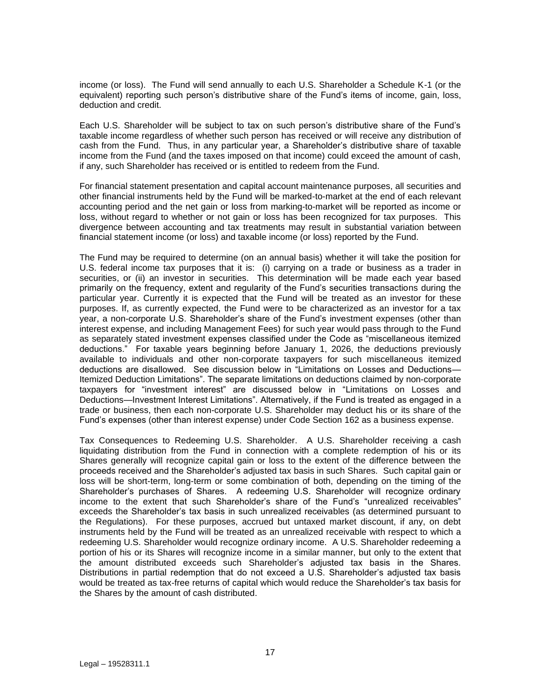income (or loss). The Fund will send annually to each U.S. Shareholder a Schedule K-1 (or the equivalent) reporting such person's distributive share of the Fund's items of income, gain, loss, deduction and credit.

Each U.S. Shareholder will be subject to tax on such person's distributive share of the Fund's taxable income regardless of whether such person has received or will receive any distribution of cash from the Fund. Thus, in any particular year, a Shareholder's distributive share of taxable income from the Fund (and the taxes imposed on that income) could exceed the amount of cash, if any, such Shareholder has received or is entitled to redeem from the Fund.

For financial statement presentation and capital account maintenance purposes, all securities and other financial instruments held by the Fund will be marked-to-market at the end of each relevant accounting period and the net gain or loss from marking-to-market will be reported as income or loss, without regard to whether or not gain or loss has been recognized for tax purposes. This divergence between accounting and tax treatments may result in substantial variation between financial statement income (or loss) and taxable income (or loss) reported by the Fund.

The Fund may be required to determine (on an annual basis) whether it will take the position for U.S. federal income tax purposes that it is: (i) carrying on a trade or business as a trader in securities, or (ii) an investor in securities. This determination will be made each year based primarily on the frequency, extent and regularity of the Fund's securities transactions during the particular year. Currently it is expected that the Fund will be treated as an investor for these purposes. If, as currently expected, the Fund were to be characterized as an investor for a tax year, a non-corporate U.S. Shareholder's share of the Fund's investment expenses (other than interest expense, and including Management Fees) for such year would pass through to the Fund as separately stated investment expenses classified under the Code as "miscellaneous itemized deductions." For taxable years beginning before January 1, 2026, the deductions previously available to individuals and other non-corporate taxpayers for such miscellaneous itemized deductions are disallowed. See discussion below in "Limitations on Losses and Deductions— Itemized Deduction Limitations". The separate limitations on deductions claimed by non-corporate taxpayers for "investment interest" are discussed below in "Limitations on Losses and Deductions—Investment Interest Limitations". Alternatively, if the Fund is treated as engaged in a trade or business, then each non-corporate U.S. Shareholder may deduct his or its share of the Fund's expenses (other than interest expense) under Code Section 162 as a business expense.

Tax Consequences to Redeeming U.S. Shareholder. A U.S. Shareholder receiving a cash liquidating distribution from the Fund in connection with a complete redemption of his or its Shares generally will recognize capital gain or loss to the extent of the difference between the proceeds received and the Shareholder's adjusted tax basis in such Shares. Such capital gain or loss will be short-term, long-term or some combination of both, depending on the timing of the Shareholder's purchases of Shares. A redeeming U.S. Shareholder will recognize ordinary income to the extent that such Shareholder's share of the Fund's "unrealized receivables" exceeds the Shareholder's tax basis in such unrealized receivables (as determined pursuant to the Regulations). For these purposes, accrued but untaxed market discount, if any, on debt instruments held by the Fund will be treated as an unrealized receivable with respect to which a redeeming U.S. Shareholder would recognize ordinary income. A U.S. Shareholder redeeming a portion of his or its Shares will recognize income in a similar manner, but only to the extent that the amount distributed exceeds such Shareholder's adjusted tax basis in the Shares. Distributions in partial redemption that do not exceed a U.S. Shareholder's adjusted tax basis would be treated as tax-free returns of capital which would reduce the Shareholder's tax basis for the Shares by the amount of cash distributed.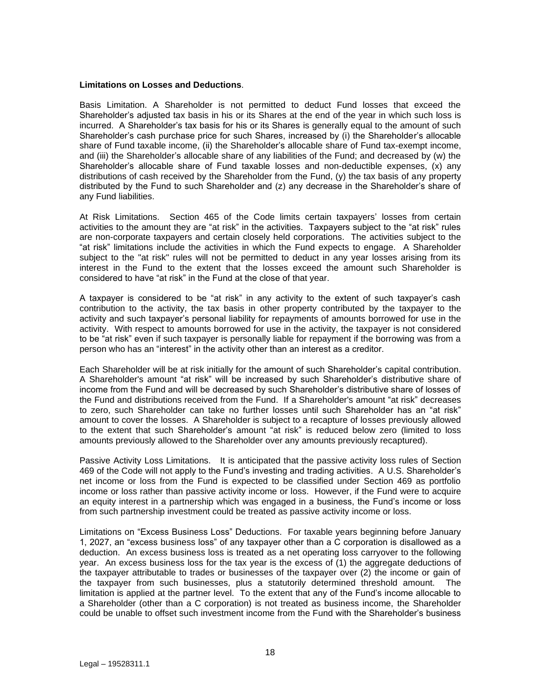#### **Limitations on Losses and Deductions**.

Basis Limitation. A Shareholder is not permitted to deduct Fund losses that exceed the Shareholder's adjusted tax basis in his or its Shares at the end of the year in which such loss is incurred. A Shareholder's tax basis for his or its Shares is generally equal to the amount of such Shareholder's cash purchase price for such Shares, increased by (i) the Shareholder's allocable share of Fund taxable income, (ii) the Shareholder's allocable share of Fund tax-exempt income, and (iii) the Shareholder's allocable share of any liabilities of the Fund; and decreased by (w) the Shareholder's allocable share of Fund taxable losses and non-deductible expenses, (x) any distributions of cash received by the Shareholder from the Fund, (y) the tax basis of any property distributed by the Fund to such Shareholder and (z) any decrease in the Shareholder's share of any Fund liabilities.

At Risk Limitations. Section 465 of the Code limits certain taxpayers' losses from certain activities to the amount they are "at risk" in the activities. Taxpayers subject to the "at risk" rules are non-corporate taxpayers and certain closely held corporations. The activities subject to the "at risk" limitations include the activities in which the Fund expects to engage. A Shareholder subject to the "at risk" rules will not be permitted to deduct in any year losses arising from its interest in the Fund to the extent that the losses exceed the amount such Shareholder is considered to have "at risk" in the Fund at the close of that year.

A taxpayer is considered to be "at risk" in any activity to the extent of such taxpayer's cash contribution to the activity, the tax basis in other property contributed by the taxpayer to the activity and such taxpayer's personal liability for repayments of amounts borrowed for use in the activity. With respect to amounts borrowed for use in the activity, the taxpayer is not considered to be "at risk" even if such taxpayer is personally liable for repayment if the borrowing was from a person who has an "interest" in the activity other than an interest as a creditor.

Each Shareholder will be at risk initially for the amount of such Shareholder's capital contribution. A Shareholder's amount "at risk" will be increased by such Shareholder's distributive share of income from the Fund and will be decreased by such Shareholder's distributive share of losses of the Fund and distributions received from the Fund. If a Shareholder's amount "at risk" decreases to zero, such Shareholder can take no further losses until such Shareholder has an "at risk" amount to cover the losses. A Shareholder is subject to a recapture of losses previously allowed to the extent that such Shareholder's amount "at risk" is reduced below zero (limited to loss amounts previously allowed to the Shareholder over any amounts previously recaptured).

Passive Activity Loss Limitations. It is anticipated that the passive activity loss rules of Section 469 of the Code will not apply to the Fund's investing and trading activities. A U.S. Shareholder's net income or loss from the Fund is expected to be classified under Section 469 as portfolio income or loss rather than passive activity income or loss. However, if the Fund were to acquire an equity interest in a partnership which was engaged in a business, the Fund's income or loss from such partnership investment could be treated as passive activity income or loss.

Limitations on "Excess Business Loss" Deductions. For taxable years beginning before January 1, 2027, an "excess business loss" of any taxpayer other than a C corporation is disallowed as a deduction. An excess business loss is treated as a net operating loss carryover to the following year. An excess business loss for the tax year is the excess of (1) the aggregate deductions of the taxpayer attributable to trades or businesses of the taxpayer over (2) the income or gain of the taxpayer from such businesses, plus a statutorily determined threshold amount. The limitation is applied at the partner level. To the extent that any of the Fund's income allocable to a Shareholder (other than a C corporation) is not treated as business income, the Shareholder could be unable to offset such investment income from the Fund with the Shareholder's business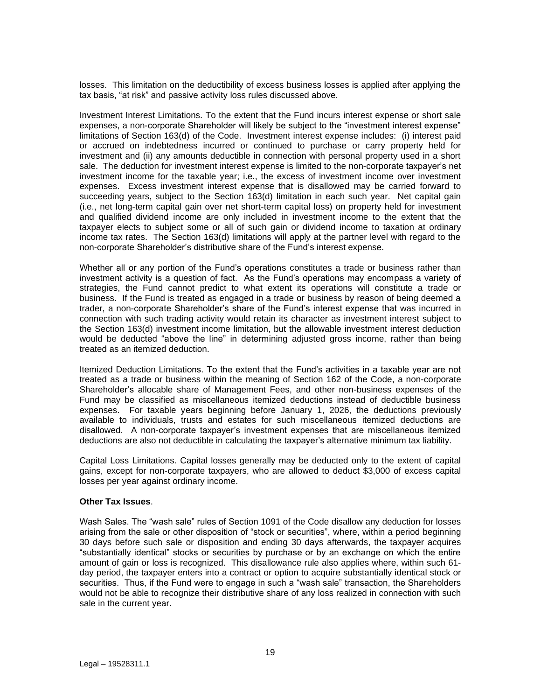losses. This limitation on the deductibility of excess business losses is applied after applying the tax basis, "at risk" and passive activity loss rules discussed above.

Investment Interest Limitations. To the extent that the Fund incurs interest expense or short sale expenses, a non-corporate Shareholder will likely be subject to the "investment interest expense" limitations of Section 163(d) of the Code. Investment interest expense includes: (i) interest paid or accrued on indebtedness incurred or continued to purchase or carry property held for investment and (ii) any amounts deductible in connection with personal property used in a short sale. The deduction for investment interest expense is limited to the non-corporate taxpayer's net investment income for the taxable year; i.e., the excess of investment income over investment expenses. Excess investment interest expense that is disallowed may be carried forward to succeeding years, subject to the Section 163(d) limitation in each such year. Net capital gain (i.e., net long-term capital gain over net short-term capital loss) on property held for investment and qualified dividend income are only included in investment income to the extent that the taxpayer elects to subject some or all of such gain or dividend income to taxation at ordinary income tax rates. The Section 163(d) limitations will apply at the partner level with regard to the non-corporate Shareholder's distributive share of the Fund's interest expense.

Whether all or any portion of the Fund's operations constitutes a trade or business rather than investment activity is a question of fact. As the Fund's operations may encompass a variety of strategies, the Fund cannot predict to what extent its operations will constitute a trade or business. If the Fund is treated as engaged in a trade or business by reason of being deemed a trader, a non-corporate Shareholder's share of the Fund's interest expense that was incurred in connection with such trading activity would retain its character as investment interest subject to the Section 163(d) investment income limitation, but the allowable investment interest deduction would be deducted "above the line" in determining adjusted gross income, rather than being treated as an itemized deduction.

Itemized Deduction Limitations. To the extent that the Fund's activities in a taxable year are not treated as a trade or business within the meaning of Section 162 of the Code, a non-corporate Shareholder's allocable share of Management Fees, and other non-business expenses of the Fund may be classified as miscellaneous itemized deductions instead of deductible business expenses. For taxable years beginning before January 1, 2026, the deductions previously available to individuals, trusts and estates for such miscellaneous itemized deductions are disallowed. A non-corporate taxpayer's investment expenses that are miscellaneous itemized deductions are also not deductible in calculating the taxpayer's alternative minimum tax liability.

Capital Loss Limitations. Capital losses generally may be deducted only to the extent of capital gains, except for non-corporate taxpayers, who are allowed to deduct \$3,000 of excess capital losses per year against ordinary income.

## **Other Tax Issues**.

Wash Sales. The "wash sale" rules of Section 1091 of the Code disallow any deduction for losses arising from the sale or other disposition of "stock or securities", where, within a period beginning 30 days before such sale or disposition and ending 30 days afterwards, the taxpayer acquires "substantially identical" stocks or securities by purchase or by an exchange on which the entire amount of gain or loss is recognized. This disallowance rule also applies where, within such 61 day period, the taxpayer enters into a contract or option to acquire substantially identical stock or securities. Thus, if the Fund were to engage in such a "wash sale" transaction, the Shareholders would not be able to recognize their distributive share of any loss realized in connection with such sale in the current year.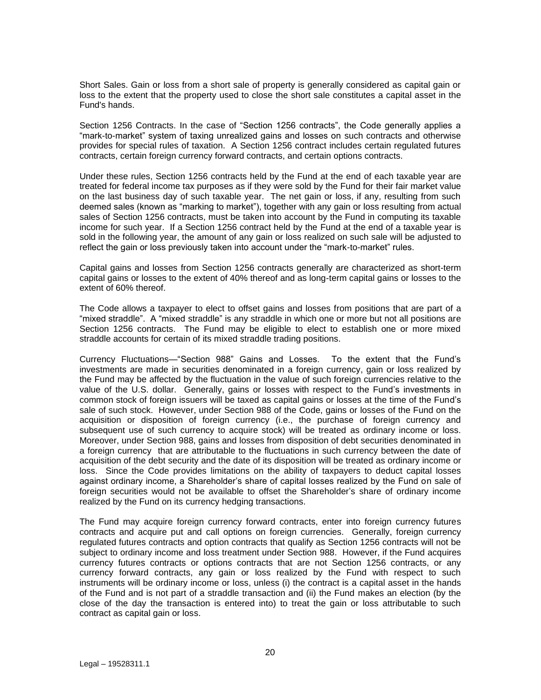Short Sales. Gain or loss from a short sale of property is generally considered as capital gain or loss to the extent that the property used to close the short sale constitutes a capital asset in the Fund's hands.

Section 1256 Contracts. In the case of "Section 1256 contracts", the Code generally applies a "mark-to-market" system of taxing unrealized gains and losses on such contracts and otherwise provides for special rules of taxation. A Section 1256 contract includes certain regulated futures contracts, certain foreign currency forward contracts, and certain options contracts.

Under these rules, Section 1256 contracts held by the Fund at the end of each taxable year are treated for federal income tax purposes as if they were sold by the Fund for their fair market value on the last business day of such taxable year. The net gain or loss, if any, resulting from such deemed sales (known as "marking to market"), together with any gain or loss resulting from actual sales of Section 1256 contracts, must be taken into account by the Fund in computing its taxable income for such year. If a Section 1256 contract held by the Fund at the end of a taxable year is sold in the following year, the amount of any gain or loss realized on such sale will be adjusted to reflect the gain or loss previously taken into account under the "mark-to-market" rules.

Capital gains and losses from Section 1256 contracts generally are characterized as short-term capital gains or losses to the extent of 40% thereof and as long-term capital gains or losses to the extent of 60% thereof.

The Code allows a taxpayer to elect to offset gains and losses from positions that are part of a "mixed straddle". A "mixed straddle" is any straddle in which one or more but not all positions are Section 1256 contracts. The Fund may be eligible to elect to establish one or more mixed straddle accounts for certain of its mixed straddle trading positions.

Currency Fluctuations—"Section 988" Gains and Losses. To the extent that the Fund's investments are made in securities denominated in a foreign currency, gain or loss realized by the Fund may be affected by the fluctuation in the value of such foreign currencies relative to the value of the U.S. dollar. Generally, gains or losses with respect to the Fund's investments in common stock of foreign issuers will be taxed as capital gains or losses at the time of the Fund's sale of such stock. However, under Section 988 of the Code, gains or losses of the Fund on the acquisition or disposition of foreign currency (i.e., the purchase of foreign currency and subsequent use of such currency to acquire stock) will be treated as ordinary income or loss. Moreover, under Section 988, gains and losses from disposition of debt securities denominated in a foreign currency that are attributable to the fluctuations in such currency between the date of acquisition of the debt security and the date of its disposition will be treated as ordinary income or loss. Since the Code provides limitations on the ability of taxpayers to deduct capital losses against ordinary income, a Shareholder's share of capital losses realized by the Fund on sale of foreign securities would not be available to offset the Shareholder's share of ordinary income realized by the Fund on its currency hedging transactions.

The Fund may acquire foreign currency forward contracts, enter into foreign currency futures contracts and acquire put and call options on foreign currencies. Generally, foreign currency regulated futures contracts and option contracts that qualify as Section 1256 contracts will not be subject to ordinary income and loss treatment under Section 988. However, if the Fund acquires currency futures contracts or options contracts that are not Section 1256 contracts, or any currency forward contracts, any gain or loss realized by the Fund with respect to such instruments will be ordinary income or loss, unless (i) the contract is a capital asset in the hands of the Fund and is not part of a straddle transaction and (ii) the Fund makes an election (by the close of the day the transaction is entered into) to treat the gain or loss attributable to such contract as capital gain or loss.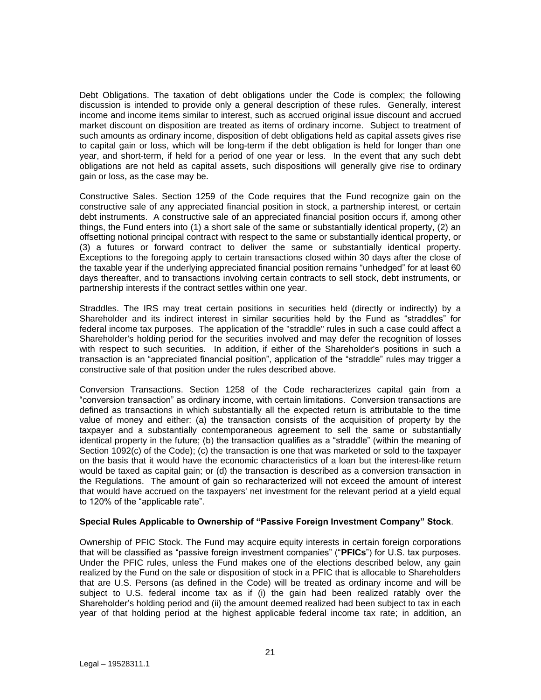Debt Obligations. The taxation of debt obligations under the Code is complex; the following discussion is intended to provide only a general description of these rules. Generally, interest income and income items similar to interest, such as accrued original issue discount and accrued market discount on disposition are treated as items of ordinary income. Subject to treatment of such amounts as ordinary income, disposition of debt obligations held as capital assets gives rise to capital gain or loss, which will be long-term if the debt obligation is held for longer than one year, and short-term, if held for a period of one year or less. In the event that any such debt obligations are not held as capital assets, such dispositions will generally give rise to ordinary gain or loss, as the case may be.

Constructive Sales. Section 1259 of the Code requires that the Fund recognize gain on the constructive sale of any appreciated financial position in stock, a partnership interest, or certain debt instruments. A constructive sale of an appreciated financial position occurs if, among other things, the Fund enters into (1) a short sale of the same or substantially identical property, (2) an offsetting notional principal contract with respect to the same or substantially identical property, or (3) a futures or forward contract to deliver the same or substantially identical property. Exceptions to the foregoing apply to certain transactions closed within 30 days after the close of the taxable year if the underlying appreciated financial position remains "unhedged" for at least 60 days thereafter, and to transactions involving certain contracts to sell stock, debt instruments, or partnership interests if the contract settles within one year.

Straddles. The IRS may treat certain positions in securities held (directly or indirectly) by a Shareholder and its indirect interest in similar securities held by the Fund as "straddles" for federal income tax purposes. The application of the "straddle" rules in such a case could affect a Shareholder's holding period for the securities involved and may defer the recognition of losses with respect to such securities. In addition, if either of the Shareholder's positions in such a transaction is an "appreciated financial position", application of the "straddle" rules may trigger a constructive sale of that position under the rules described above.

Conversion Transactions. Section 1258 of the Code recharacterizes capital gain from a "conversion transaction" as ordinary income, with certain limitations. Conversion transactions are defined as transactions in which substantially all the expected return is attributable to the time value of money and either: (a) the transaction consists of the acquisition of property by the taxpayer and a substantially contemporaneous agreement to sell the same or substantially identical property in the future; (b) the transaction qualifies as a "straddle" (within the meaning of Section 1092(c) of the Code); (c) the transaction is one that was marketed or sold to the taxpayer on the basis that it would have the economic characteristics of a loan but the interest-like return would be taxed as capital gain; or (d) the transaction is described as a conversion transaction in the Regulations. The amount of gain so recharacterized will not exceed the amount of interest that would have accrued on the taxpayers' net investment for the relevant period at a yield equal to 120% of the "applicable rate".

## **Special Rules Applicable to Ownership of "Passive Foreign Investment Company" Stock**.

Ownership of PFIC Stock. The Fund may acquire equity interests in certain foreign corporations that will be classified as "passive foreign investment companies" ("**PFICs**") for U.S. tax purposes. Under the PFIC rules, unless the Fund makes one of the elections described below, any gain realized by the Fund on the sale or disposition of stock in a PFIC that is allocable to Shareholders that are U.S. Persons (as defined in the Code) will be treated as ordinary income and will be subject to U.S. federal income tax as if (i) the gain had been realized ratably over the Shareholder's holding period and (ii) the amount deemed realized had been subject to tax in each year of that holding period at the highest applicable federal income tax rate; in addition, an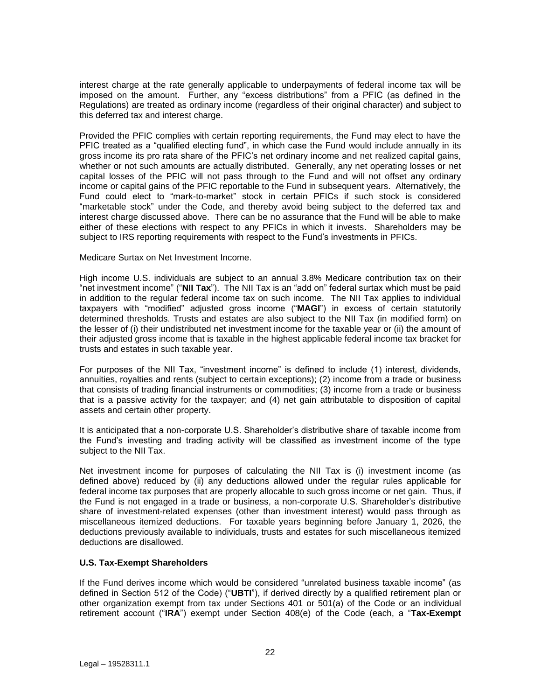interest charge at the rate generally applicable to underpayments of federal income tax will be imposed on the amount. Further, any "excess distributions" from a PFIC (as defined in the Regulations) are treated as ordinary income (regardless of their original character) and subject to this deferred tax and interest charge.

Provided the PFIC complies with certain reporting requirements, the Fund may elect to have the PFIC treated as a "qualified electing fund", in which case the Fund would include annually in its gross income its pro rata share of the PFIC's net ordinary income and net realized capital gains, whether or not such amounts are actually distributed. Generally, any net operating losses or net capital losses of the PFIC will not pass through to the Fund and will not offset any ordinary income or capital gains of the PFIC reportable to the Fund in subsequent years. Alternatively, the Fund could elect to "mark-to-market" stock in certain PFICs if such stock is considered "marketable stock" under the Code, and thereby avoid being subject to the deferred tax and interest charge discussed above. There can be no assurance that the Fund will be able to make either of these elections with respect to any PFICs in which it invests. Shareholders may be subject to IRS reporting requirements with respect to the Fund's investments in PFICs.

Medicare Surtax on Net Investment Income.

High income U.S. individuals are subject to an annual 3.8% Medicare contribution tax on their "net investment income" ("**NII Tax**"). The NII Tax is an "add on" federal surtax which must be paid in addition to the regular federal income tax on such income. The NII Tax applies to individual taxpayers with "modified" adjusted gross income ("**MAGI**") in excess of certain statutorily determined thresholds. Trusts and estates are also subject to the NII Tax (in modified form) on the lesser of (i) their undistributed net investment income for the taxable year or (ii) the amount of their adjusted gross income that is taxable in the highest applicable federal income tax bracket for trusts and estates in such taxable year.

For purposes of the NII Tax, "investment income" is defined to include (1) interest, dividends, annuities, royalties and rents (subject to certain exceptions); (2) income from a trade or business that consists of trading financial instruments or commodities; (3) income from a trade or business that is a passive activity for the taxpayer; and (4) net gain attributable to disposition of capital assets and certain other property.

It is anticipated that a non-corporate U.S. Shareholder's distributive share of taxable income from the Fund's investing and trading activity will be classified as investment income of the type subject to the NII Tax.

Net investment income for purposes of calculating the NII Tax is (i) investment income (as defined above) reduced by (ii) any deductions allowed under the regular rules applicable for federal income tax purposes that are properly allocable to such gross income or net gain. Thus, if the Fund is not engaged in a trade or business, a non-corporate U.S. Shareholder's distributive share of investment-related expenses (other than investment interest) would pass through as miscellaneous itemized deductions. For taxable years beginning before January 1, 2026, the deductions previously available to individuals, trusts and estates for such miscellaneous itemized deductions are disallowed.

## **U.S. Tax-Exempt Shareholders**

If the Fund derives income which would be considered "unrelated business taxable income" (as defined in Section 512 of the Code) ("**UBTI**"), if derived directly by a qualified retirement plan or other organization exempt from tax under Sections 401 or 501(a) of the Code or an individual retirement account ("**IRA**") exempt under Section 408(e) of the Code (each, a "**Tax-Exempt**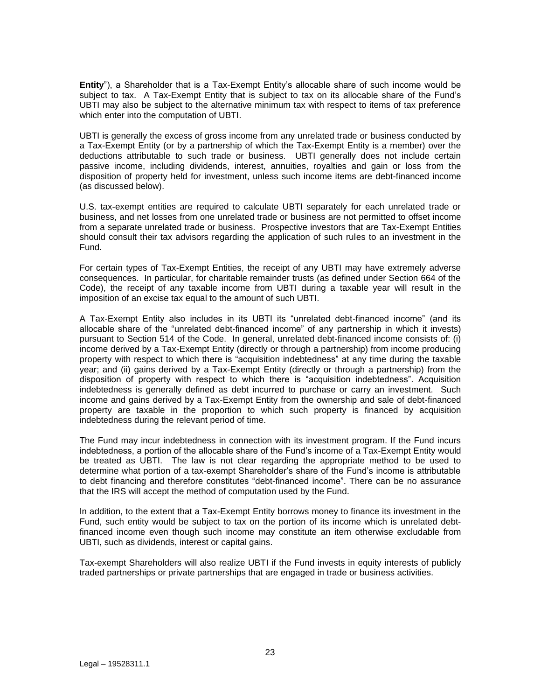**Entity**"), a Shareholder that is a Tax-Exempt Entity's allocable share of such income would be subject to tax. A Tax-Exempt Entity that is subject to tax on its allocable share of the Fund's UBTI may also be subject to the alternative minimum tax with respect to items of tax preference which enter into the computation of UBTI.

UBTI is generally the excess of gross income from any unrelated trade or business conducted by a Tax-Exempt Entity (or by a partnership of which the Tax-Exempt Entity is a member) over the deductions attributable to such trade or business. UBTI generally does not include certain passive income, including dividends, interest, annuities, royalties and gain or loss from the disposition of property held for investment, unless such income items are debt-financed income (as discussed below).

U.S. tax-exempt entities are required to calculate UBTI separately for each unrelated trade or business, and net losses from one unrelated trade or business are not permitted to offset income from a separate unrelated trade or business. Prospective investors that are Tax-Exempt Entities should consult their tax advisors regarding the application of such rules to an investment in the Fund.

For certain types of Tax-Exempt Entities, the receipt of any UBTI may have extremely adverse consequences. In particular, for charitable remainder trusts (as defined under Section 664 of the Code), the receipt of any taxable income from UBTI during a taxable year will result in the imposition of an excise tax equal to the amount of such UBTI.

A Tax-Exempt Entity also includes in its UBTI its "unrelated debt-financed income" (and its allocable share of the "unrelated debt-financed income" of any partnership in which it invests) pursuant to Section 514 of the Code. In general, unrelated debt-financed income consists of: (i) income derived by a Tax-Exempt Entity (directly or through a partnership) from income producing property with respect to which there is "acquisition indebtedness" at any time during the taxable year; and (ii) gains derived by a Tax-Exempt Entity (directly or through a partnership) from the disposition of property with respect to which there is "acquisition indebtedness". Acquisition indebtedness is generally defined as debt incurred to purchase or carry an investment. Such income and gains derived by a Tax-Exempt Entity from the ownership and sale of debt-financed property are taxable in the proportion to which such property is financed by acquisition indebtedness during the relevant period of time.

The Fund may incur indebtedness in connection with its investment program. If the Fund incurs indebtedness, a portion of the allocable share of the Fund's income of a Tax-Exempt Entity would be treated as UBTI. The law is not clear regarding the appropriate method to be used to determine what portion of a tax-exempt Shareholder's share of the Fund's income is attributable to debt financing and therefore constitutes "debt-financed income". There can be no assurance that the IRS will accept the method of computation used by the Fund.

In addition, to the extent that a Tax-Exempt Entity borrows money to finance its investment in the Fund, such entity would be subject to tax on the portion of its income which is unrelated debtfinanced income even though such income may constitute an item otherwise excludable from UBTI, such as dividends, interest or capital gains.

Tax-exempt Shareholders will also realize UBTI if the Fund invests in equity interests of publicly traded partnerships or private partnerships that are engaged in trade or business activities.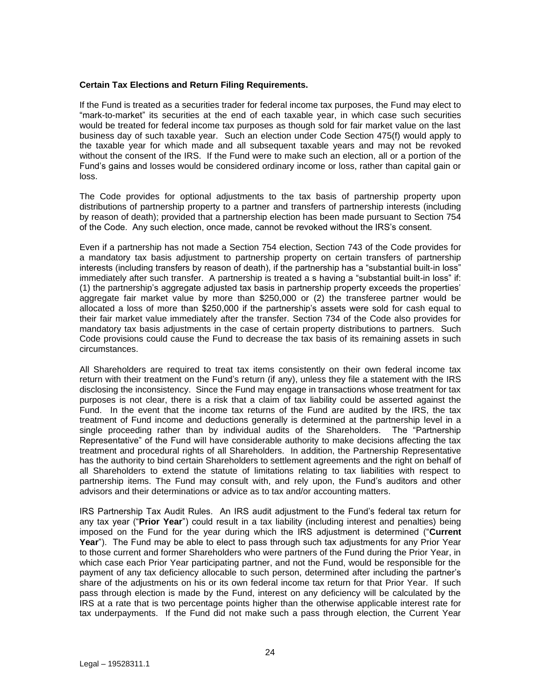## **Certain Tax Elections and Return Filing Requirements.**

If the Fund is treated as a securities trader for federal income tax purposes, the Fund may elect to "mark-to-market" its securities at the end of each taxable year, in which case such securities would be treated for federal income tax purposes as though sold for fair market value on the last business day of such taxable year. Such an election under Code Section 475(f) would apply to the taxable year for which made and all subsequent taxable years and may not be revoked without the consent of the IRS. If the Fund were to make such an election, all or a portion of the Fund's gains and losses would be considered ordinary income or loss, rather than capital gain or loss.

The Code provides for optional adjustments to the tax basis of partnership property upon distributions of partnership property to a partner and transfers of partnership interests (including by reason of death); provided that a partnership election has been made pursuant to Section 754 of the Code. Any such election, once made, cannot be revoked without the IRS's consent.

Even if a partnership has not made a Section 754 election, Section 743 of the Code provides for a mandatory tax basis adjustment to partnership property on certain transfers of partnership interests (including transfers by reason of death), if the partnership has a "substantial built-in loss" immediately after such transfer. A partnership is treated a s having a "substantial built-in loss" if: (1) the partnership's aggregate adjusted tax basis in partnership property exceeds the properties' aggregate fair market value by more than \$250,000 or (2) the transferee partner would be allocated a loss of more than \$250,000 if the partnership's assets were sold for cash equal to their fair market value immediately after the transfer. Section 734 of the Code also provides for mandatory tax basis adjustments in the case of certain property distributions to partners. Such Code provisions could cause the Fund to decrease the tax basis of its remaining assets in such circumstances.

All Shareholders are required to treat tax items consistently on their own federal income tax return with their treatment on the Fund's return (if any), unless they file a statement with the IRS disclosing the inconsistency. Since the Fund may engage in transactions whose treatment for tax purposes is not clear, there is a risk that a claim of tax liability could be asserted against the Fund. In the event that the income tax returns of the Fund are audited by the IRS, the tax treatment of Fund income and deductions generally is determined at the partnership level in a single proceeding rather than by individual audits of the Shareholders. The "Partnership Representative" of the Fund will have considerable authority to make decisions affecting the tax treatment and procedural rights of all Shareholders. In addition, the Partnership Representative has the authority to bind certain Shareholders to settlement agreements and the right on behalf of all Shareholders to extend the statute of limitations relating to tax liabilities with respect to partnership items. The Fund may consult with, and rely upon, the Fund's auditors and other advisors and their determinations or advice as to tax and/or accounting matters.

IRS Partnership Tax Audit Rules. An IRS audit adjustment to the Fund's federal tax return for any tax year ("**Prior Year**") could result in a tax liability (including interest and penalties) being imposed on the Fund for the year during which the IRS adjustment is determined ("**Current Year**"). The Fund may be able to elect to pass through such tax adjustments for any Prior Year to those current and former Shareholders who were partners of the Fund during the Prior Year, in which case each Prior Year participating partner, and not the Fund, would be responsible for the payment of any tax deficiency allocable to such person, determined after including the partner's share of the adjustments on his or its own federal income tax return for that Prior Year. If such pass through election is made by the Fund, interest on any deficiency will be calculated by the IRS at a rate that is two percentage points higher than the otherwise applicable interest rate for tax underpayments. If the Fund did not make such a pass through election, the Current Year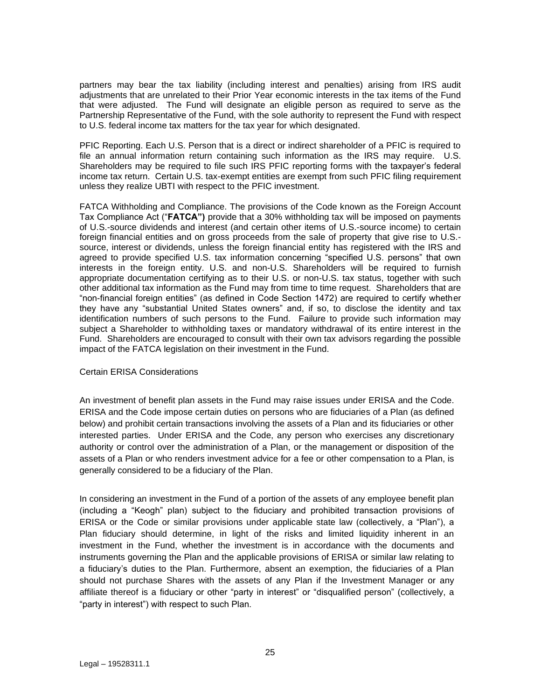partners may bear the tax liability (including interest and penalties) arising from IRS audit adjustments that are unrelated to their Prior Year economic interests in the tax items of the Fund that were adjusted. The Fund will designate an eligible person as required to serve as the Partnership Representative of the Fund, with the sole authority to represent the Fund with respect to U.S. federal income tax matters for the tax year for which designated.

PFIC Reporting. Each U.S. Person that is a direct or indirect shareholder of a PFIC is required to file an annual information return containing such information as the IRS may require. U.S. Shareholders may be required to file such IRS PFIC reporting forms with the taxpayer's federal income tax return. Certain U.S. tax-exempt entities are exempt from such PFIC filing requirement unless they realize UBTI with respect to the PFIC investment.

FATCA Withholding and Compliance. The provisions of the Code known as the Foreign Account Tax Compliance Act ("**FATCA")** provide that a 30% withholding tax will be imposed on payments of U.S.-source dividends and interest (and certain other items of U.S.-source income) to certain foreign financial entities and on gross proceeds from the sale of property that give rise to U.S. source, interest or dividends, unless the foreign financial entity has registered with the IRS and agreed to provide specified U.S. tax information concerning "specified U.S. persons" that own interests in the foreign entity. U.S. and non-U.S. Shareholders will be required to furnish appropriate documentation certifying as to their U.S. or non-U.S. tax status, together with such other additional tax information as the Fund may from time to time request. Shareholders that are "non-financial foreign entities" (as defined in Code Section 1472) are required to certify whether they have any "substantial United States owners" and, if so, to disclose the identity and tax identification numbers of such persons to the Fund. Failure to provide such information may subject a Shareholder to withholding taxes or mandatory withdrawal of its entire interest in the Fund. Shareholders are encouraged to consult with their own tax advisors regarding the possible impact of the FATCA legislation on their investment in the Fund.

## Certain ERISA Considerations

An investment of benefit plan assets in the Fund may raise issues under ERISA and the Code. ERISA and the Code impose certain duties on persons who are fiduciaries of a Plan (as defined below) and prohibit certain transactions involving the assets of a Plan and its fiduciaries or other interested parties. Under ERISA and the Code, any person who exercises any discretionary authority or control over the administration of a Plan, or the management or disposition of the assets of a Plan or who renders investment advice for a fee or other compensation to a Plan, is generally considered to be a fiduciary of the Plan.

In considering an investment in the Fund of a portion of the assets of any employee benefit plan (including a "Keogh" plan) subject to the fiduciary and prohibited transaction provisions of ERISA or the Code or similar provisions under applicable state law (collectively, a "Plan"), a Plan fiduciary should determine, in light of the risks and limited liquidity inherent in an investment in the Fund, whether the investment is in accordance with the documents and instruments governing the Plan and the applicable provisions of ERISA or similar law relating to a fiduciary's duties to the Plan. Furthermore, absent an exemption, the fiduciaries of a Plan should not purchase Shares with the assets of any Plan if the Investment Manager or any affiliate thereof is a fiduciary or other "party in interest" or "disqualified person" (collectively, a "party in interest") with respect to such Plan.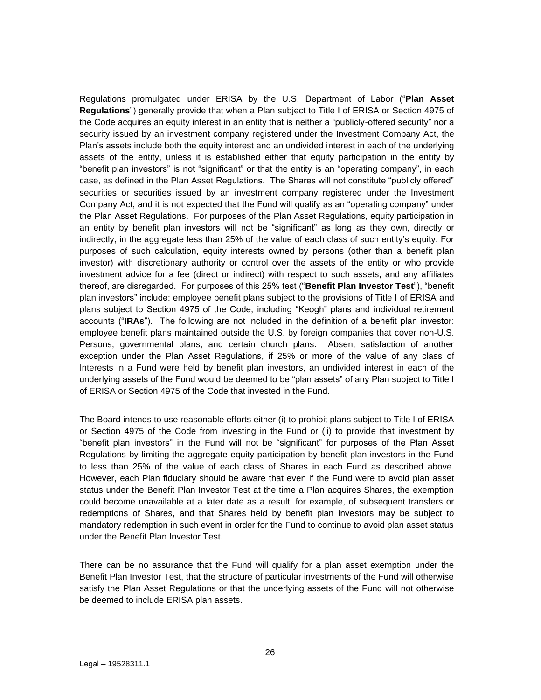Regulations promulgated under ERISA by the U.S. Department of Labor ("**Plan Asset Regulations**") generally provide that when a Plan subject to Title I of ERISA or Section 4975 of the Code acquires an equity interest in an entity that is neither a "publicly-offered security" nor a security issued by an investment company registered under the Investment Company Act, the Plan's assets include both the equity interest and an undivided interest in each of the underlying assets of the entity, unless it is established either that equity participation in the entity by "benefit plan investors" is not "significant" or that the entity is an "operating company", in each case, as defined in the Plan Asset Regulations. The Shares will not constitute "publicly offered" securities or securities issued by an investment company registered under the Investment Company Act, and it is not expected that the Fund will qualify as an "operating company" under the Plan Asset Regulations. For purposes of the Plan Asset Regulations, equity participation in an entity by benefit plan investors will not be "significant" as long as they own, directly or indirectly, in the aggregate less than 25% of the value of each class of such entity's equity. For purposes of such calculation, equity interests owned by persons (other than a benefit plan investor) with discretionary authority or control over the assets of the entity or who provide investment advice for a fee (direct or indirect) with respect to such assets, and any affiliates thereof, are disregarded. For purposes of this 25% test ("**Benefit Plan Investor Test**"), "benefit plan investors" include: employee benefit plans subject to the provisions of Title I of ERISA and plans subject to Section 4975 of the Code, including "Keogh" plans and individual retirement accounts ("**IRAs**"). The following are not included in the definition of a benefit plan investor: employee benefit plans maintained outside the U.S. by foreign companies that cover non-U.S. Persons, governmental plans, and certain church plans. Absent satisfaction of another exception under the Plan Asset Regulations, if 25% or more of the value of any class of Interests in a Fund were held by benefit plan investors, an undivided interest in each of the underlying assets of the Fund would be deemed to be "plan assets" of any Plan subject to Title I of ERISA or Section 4975 of the Code that invested in the Fund.

The Board intends to use reasonable efforts either (i) to prohibit plans subject to Title I of ERISA or Section 4975 of the Code from investing in the Fund or (ii) to provide that investment by "benefit plan investors" in the Fund will not be "significant" for purposes of the Plan Asset Regulations by limiting the aggregate equity participation by benefit plan investors in the Fund to less than 25% of the value of each class of Shares in each Fund as described above. However, each Plan fiduciary should be aware that even if the Fund were to avoid plan asset status under the Benefit Plan Investor Test at the time a Plan acquires Shares, the exemption could become unavailable at a later date as a result, for example, of subsequent transfers or redemptions of Shares, and that Shares held by benefit plan investors may be subject to mandatory redemption in such event in order for the Fund to continue to avoid plan asset status under the Benefit Plan Investor Test.

There can be no assurance that the Fund will qualify for a plan asset exemption under the Benefit Plan Investor Test, that the structure of particular investments of the Fund will otherwise satisfy the Plan Asset Regulations or that the underlying assets of the Fund will not otherwise be deemed to include ERISA plan assets.